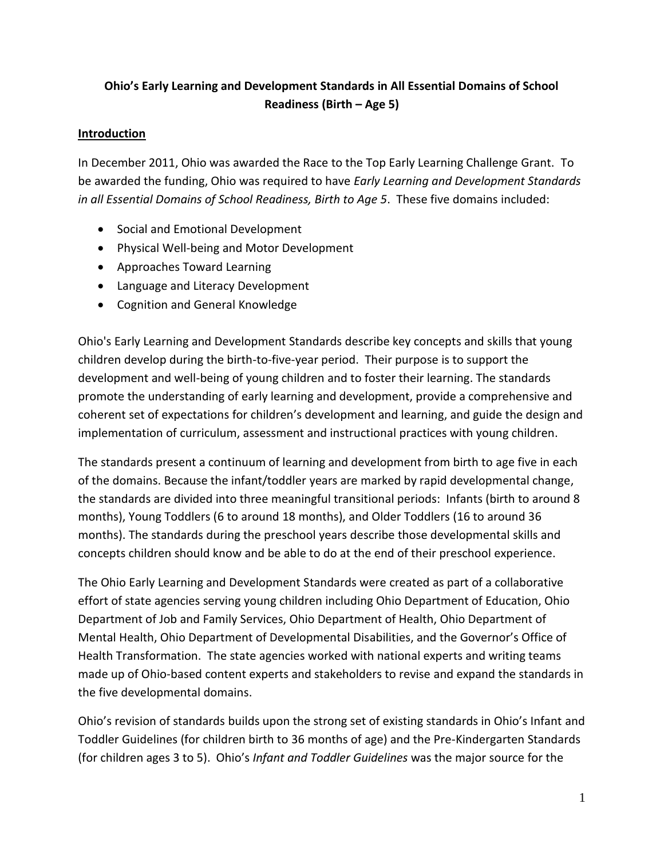# **Ohio's Early Learning and Development Standards in All Essential Domains of School Readiness (Birth – Age 5)**

# **Introduction**

In December 2011, Ohio was awarded the Race to the Top Early Learning Challenge Grant. To be awarded the funding, Ohio was required to have *Early Learning and Development Standards in all Essential Domains of School Readiness, Birth to Age 5*. These five domains included:

- Social and Emotional Development
- Physical Well-being and Motor Development
- Approaches Toward Learning
- Language and Literacy Development
- Cognition and General Knowledge

Ohio's Early Learning and Development Standards describe key concepts and skills that young children develop during the birth-to-five-year period. Their purpose is to support the development and well-being of young children and to foster their learning. The standards promote the understanding of early learning and development, provide a comprehensive and coherent set of expectations for children's development and learning, and guide the design and implementation of curriculum, assessment and instructional practices with young children.

The standards present a continuum of learning and development from birth to age five in each of the domains. Because the infant/toddler years are marked by rapid developmental change, the standards are divided into three meaningful transitional periods: Infants (birth to around 8 months), Young Toddlers (6 to around 18 months), and Older Toddlers (16 to around 36 months). The standards during the preschool years describe those developmental skills and concepts children should know and be able to do at the end of their preschool experience.

The Ohio Early Learning and Development Standards were created as part of a collaborative effort of state agencies serving young children including Ohio Department of Education, Ohio Department of Job and Family Services, Ohio Department of Health, Ohio Department of Mental Health, Ohio Department of Developmental Disabilities, and the Governor's Office of Health Transformation. The state agencies worked with national experts and writing teams made up of Ohio-based content experts and stakeholders to revise and expand the standards in the five developmental domains.

Ohio's revision of standards builds upon the strong set of existing standards in Ohio's Infant and Toddler Guidelines (for children birth to 36 months of age) and the Pre-Kindergarten Standards (for children ages 3 to 5). Ohio's *Infant and Toddler Guidelines* was the major source for the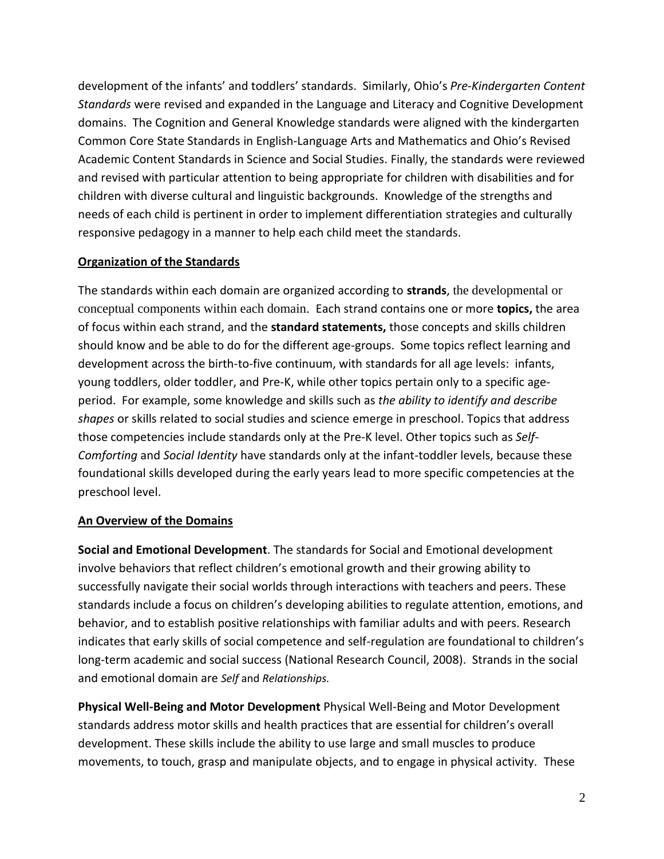development of the infants' and toddlers' standards. Similarly, Ohio's *Pre-Kindergarten Content Standards* were revised and expanded in the Language and Literacy and Cognitive Development domains. The Cognition and General Knowledge standards were aligned with the kindergarten Common Core State Standards in English-Language Arts and Mathematics and Ohio's Revised Academic Content Standards in Science and Social Studies. Finally, the standards were reviewed and revised with particular attention to being appropriate for children with disabilities and for children with diverse cultural and linguistic backgrounds. Knowledge of the strengths and needs of each child is pertinent in order to implement differentiation strategies and culturally responsive pedagogy in a manner to help each child meet the standards.

# **Organization of the Standards**

The standards within each domain are organized according to **strands**, the developmental or conceptual components within each domain. Each strand contains one or more **topics,** the area of focus within each strand, and the **standard statements,** those concepts and skills children should know and be able to do for the different age-groups. Some topics reflect learning and development across the birth-to-five continuum, with standards for all age levels: infants, young toddlers, older toddler, and Pre-K, while other topics pertain only to a specific ageperiod. For example, some knowledge and skills such as *the ability to identify and describe shapes* or skills related to social studies and science emerge in preschool. Topics that address those competencies include standards only at the Pre-K level. Other topics such as *Self-Comforting* and *Social Identity* have standards only at the infant-toddler levels, because these foundational skills developed during the early years lead to more specific competencies at the preschool level.

### **An Overview of the Domains**

**Social and Emotional Development**. The standards for Social and Emotional development involve behaviors that reflect children's emotional growth and their growing ability to successfully navigate their social worlds through interactions with teachers and peers. These standards include a focus on children's developing abilities to regulate attention, emotions, and behavior, and to establish positive relationships with familiar adults and with peers. Research indicates that early skills of social competence and self-regulation are foundational to children's long-term academic and social success (National Research Council, 2008). Strands in the social and emotional domain are *Self* and *Relationships.* 

**Physical Well-Being and Motor Development** Physical Well-Being and Motor Development standards address motor skills and health practices that are essential for children's overall development. These skills include the ability to use large and small muscles to produce movements, to touch, grasp and manipulate objects, and to engage in physical activity. These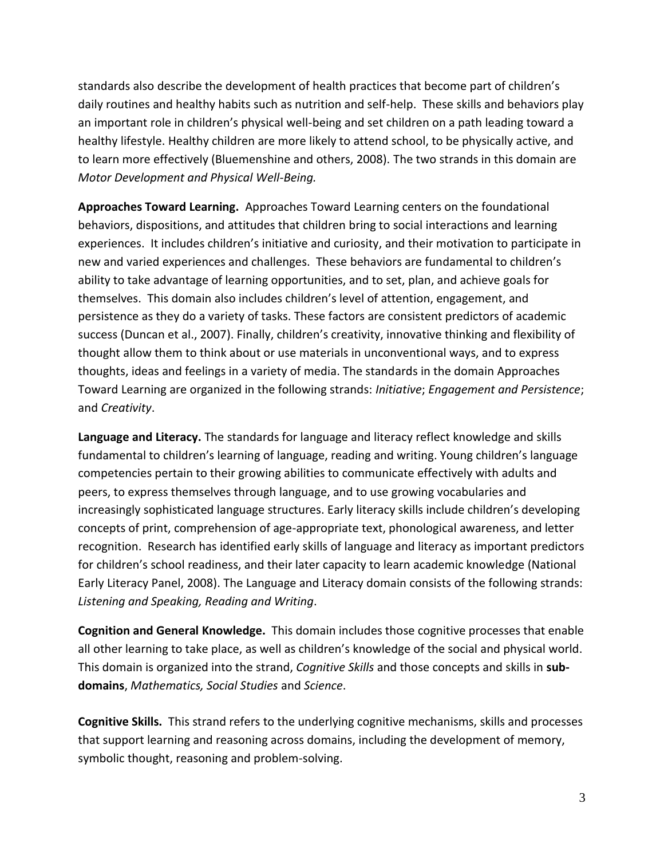standards also describe the development of health practices that become part of children's daily routines and healthy habits such as nutrition and self-help. These skills and behaviors play an important role in children's physical well-being and set children on a path leading toward a healthy lifestyle. Healthy children are more likely to attend school, to be physically active, and to learn more effectively (Bluemenshine and others, 2008). The two strands in this domain are *Motor Development and Physical Well-Being.*

**Approaches Toward Learning.** Approaches Toward Learning centers on the foundational behaviors, dispositions, and attitudes that children bring to social interactions and learning experiences. It includes children's initiative and curiosity, and their motivation to participate in new and varied experiences and challenges. These behaviors are fundamental to children's ability to take advantage of learning opportunities, and to set, plan, and achieve goals for themselves. This domain also includes children's level of attention, engagement, and persistence as they do a variety of tasks. These factors are consistent predictors of academic success (Duncan et al., 2007). Finally, children's creativity, innovative thinking and flexibility of thought allow them to think about or use materials in unconventional ways, and to express thoughts, ideas and feelings in a variety of media. The standards in the domain Approaches Toward Learning are organized in the following strands: *Initiative*; *Engagement and Persistence*; and *Creativity*.

**Language and Literacy.** The standards for language and literacy reflect knowledge and skills fundamental to children's learning of language, reading and writing. Young children's language competencies pertain to their growing abilities to communicate effectively with adults and peers, to express themselves through language, and to use growing vocabularies and increasingly sophisticated language structures. Early literacy skills include children's developing concepts of print, comprehension of age-appropriate text, phonological awareness, and letter recognition. Research has identified early skills of language and literacy as important predictors for children's school readiness, and their later capacity to learn academic knowledge (National Early Literacy Panel, 2008). The Language and Literacy domain consists of the following strands: *Listening and Speaking, Reading and Writing*.

**Cognition and General Knowledge.** This domain includes those cognitive processes that enable all other learning to take place, as well as children's knowledge of the social and physical world. This domain is organized into the strand, *Cognitive Skills* and those concepts and skills in **subdomains**, *Mathematics, Social Studies* and *Science*.

**Cognitive Skills.** This strand refers to the underlying cognitive mechanisms, skills and processes that support learning and reasoning across domains, including the development of memory, symbolic thought, reasoning and problem-solving.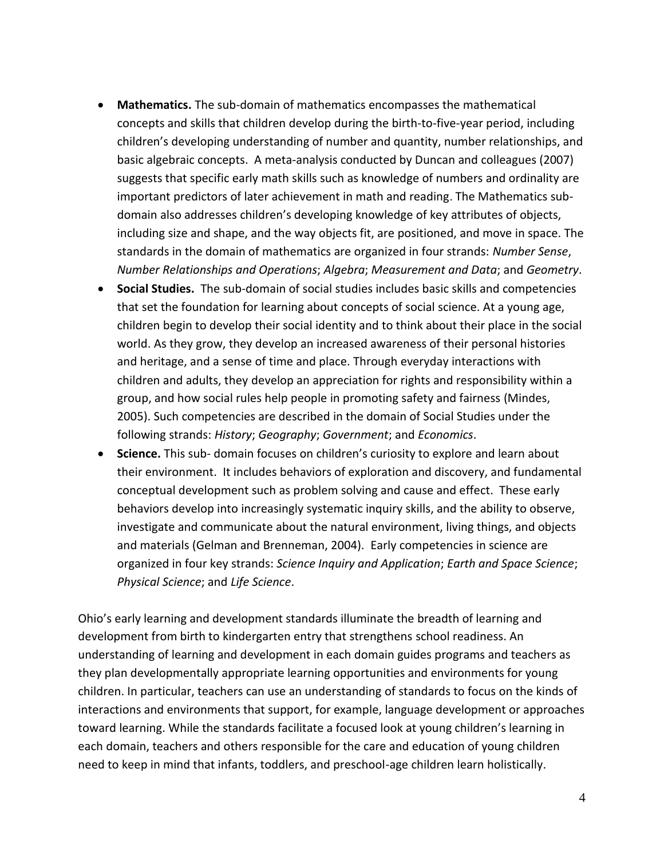- **Mathematics.** The sub-domain of mathematics encompasses the mathematical concepts and skills that children develop during the birth-to-five-year period, including children's developing understanding of number and quantity, number relationships, and basic algebraic concepts. A meta-analysis conducted by Duncan and colleagues (2007) suggests that specific early math skills such as knowledge of numbers and ordinality are important predictors of later achievement in math and reading. The Mathematics subdomain also addresses children's developing knowledge of key attributes of objects, including size and shape, and the way objects fit, are positioned, and move in space. The standards in the domain of mathematics are organized in four strands: *Number Sense*, *Number Relationships and Operations*; *Algebra*; *Measurement and Data*; and *Geometry*.
- **Social Studies.** The sub-domain of social studies includes basic skills and competencies that set the foundation for learning about concepts of social science. At a young age, children begin to develop their social identity and to think about their place in the social world. As they grow, they develop an increased awareness of their personal histories and heritage, and a sense of time and place. Through everyday interactions with children and adults, they develop an appreciation for rights and responsibility within a group, and how social rules help people in promoting safety and fairness (Mindes, 2005). Such competencies are described in the domain of Social Studies under the following strands: *History*; *Geography*; *Government*; and *Economics*.
- **Science.** This sub- domain focuses on children's curiosity to explore and learn about their environment. It includes behaviors of exploration and discovery, and fundamental conceptual development such as problem solving and cause and effect. These early behaviors develop into increasingly systematic inquiry skills, and the ability to observe, investigate and communicate about the natural environment, living things, and objects and materials (Gelman and Brenneman, 2004). Early competencies in science are organized in four key strands: *Science Inquiry and Application*; *Earth and Space Science*; *Physical Science*; and *Life Science*.

Ohio's early learning and development standards illuminate the breadth of learning and development from birth to kindergarten entry that strengthens school readiness. An understanding of learning and development in each domain guides programs and teachers as they plan developmentally appropriate learning opportunities and environments for young children. In particular, teachers can use an understanding of standards to focus on the kinds of interactions and environments that support, for example, language development or approaches toward learning. While the standards facilitate a focused look at young children's learning in each domain, teachers and others responsible for the care and education of young children need to keep in mind that infants, toddlers, and preschool-age children learn holistically.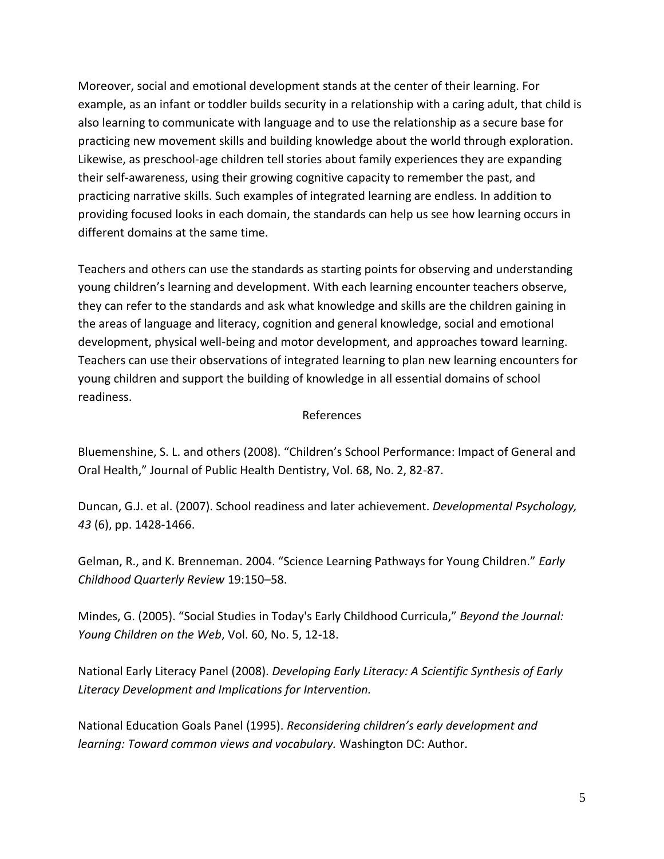Moreover, social and emotional development stands at the center of their learning. For example, as an infant or toddler builds security in a relationship with a caring adult, that child is also learning to communicate with language and to use the relationship as a secure base for practicing new movement skills and building knowledge about the world through exploration. Likewise, as preschool-age children tell stories about family experiences they are expanding their self-awareness, using their growing cognitive capacity to remember the past, and practicing narrative skills. Such examples of integrated learning are endless. In addition to providing focused looks in each domain, the standards can help us see how learning occurs in different domains at the same time.

Teachers and others can use the standards as starting points for observing and understanding young children's learning and development. With each learning encounter teachers observe, they can refer to the standards and ask what knowledge and skills are the children gaining in the areas of language and literacy, cognition and general knowledge, social and emotional development, physical well-being and motor development, and approaches toward learning. Teachers can use their observations of integrated learning to plan new learning encounters for young children and support the building of knowledge in all essential domains of school readiness.

### References

Bluemenshine, S. L. and others (2008). "Children's School Performance: Impact of General and Oral Health," Journal of Public Health Dentistry, Vol. 68, No. 2, 82-87.

Duncan, G.J. et al. (2007). School readiness and later achievement. *Developmental Psychology, 43* (6), pp. 1428-1466.

Gelman, R., and K. Brenneman. 2004. "Science Learning Pathways for Young Children." *Early Childhood Quarterly Review* 19:150–58.

Mindes, G. (2005). "Social Studies in Today's Early Childhood Curricula," *Beyond the Journal: Young Children on the Web*, Vol. 60, No. 5, 12-18.

National Early Literacy Panel (2008). *Developing Early Literacy: A Scientific Synthesis of Early Literacy Development and Implications for Intervention.*

National Education Goals Panel (1995). *Reconsidering children's early development and learning: Toward common views and vocabulary.* Washington DC: Author.